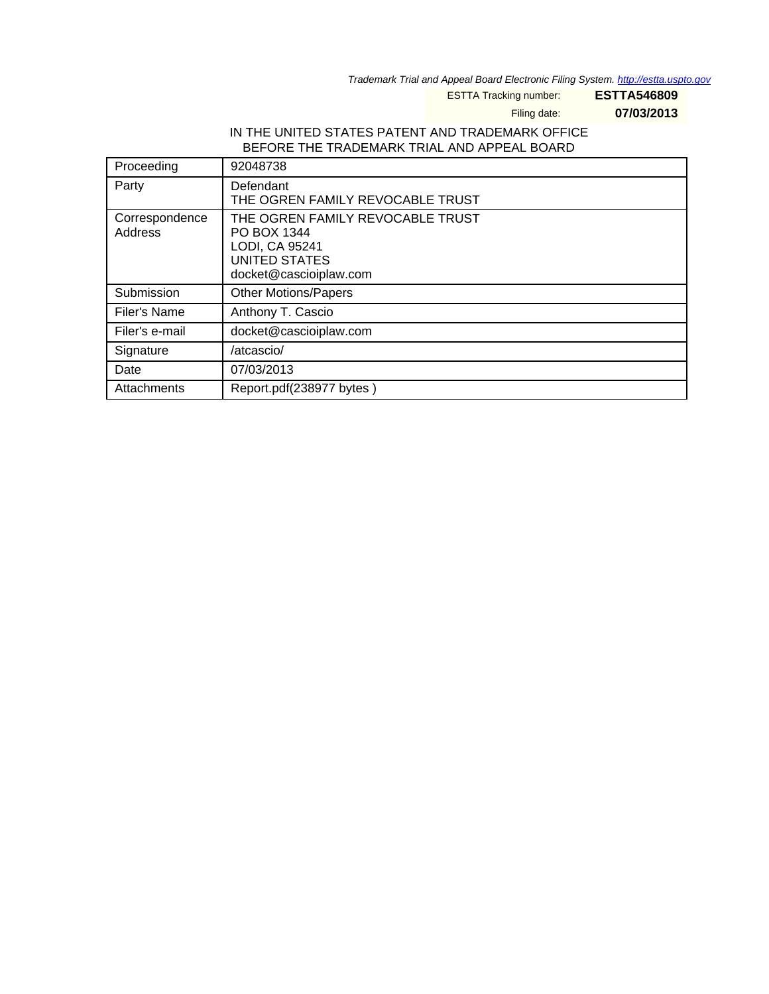Trademark Trial and Appeal Board Electronic Filing System. http://estta.uspto.gov

ESTTA Tracking number: **ESTTA546809**

Filing date: **07/03/2013**

### IN THE UNITED STATES PATENT AND TRADEMARK OFFICE BEFORE THE TRADEMARK TRIAL AND APPEAL BOARD

| Proceeding                | 92048738                                                                                                            |
|---------------------------|---------------------------------------------------------------------------------------------------------------------|
| Party                     | Defendant<br>THE OGREN FAMILY REVOCABLE TRUST                                                                       |
| Correspondence<br>Address | THE OGREN FAMILY REVOCABLE TRUST<br>PO BOX 1344<br>LODI, CA 95241<br><b>UNITED STATES</b><br>docket@cascioiplaw.com |
| Submission                | <b>Other Motions/Papers</b>                                                                                         |
| Filer's Name              | Anthony T. Cascio                                                                                                   |
| Filer's e-mail            | docket@cascioiplaw.com                                                                                              |
| Signature                 | /atcascio/                                                                                                          |
| Date                      | 07/03/2013                                                                                                          |
| Attachments               | Report.pdf(238977 bytes)                                                                                            |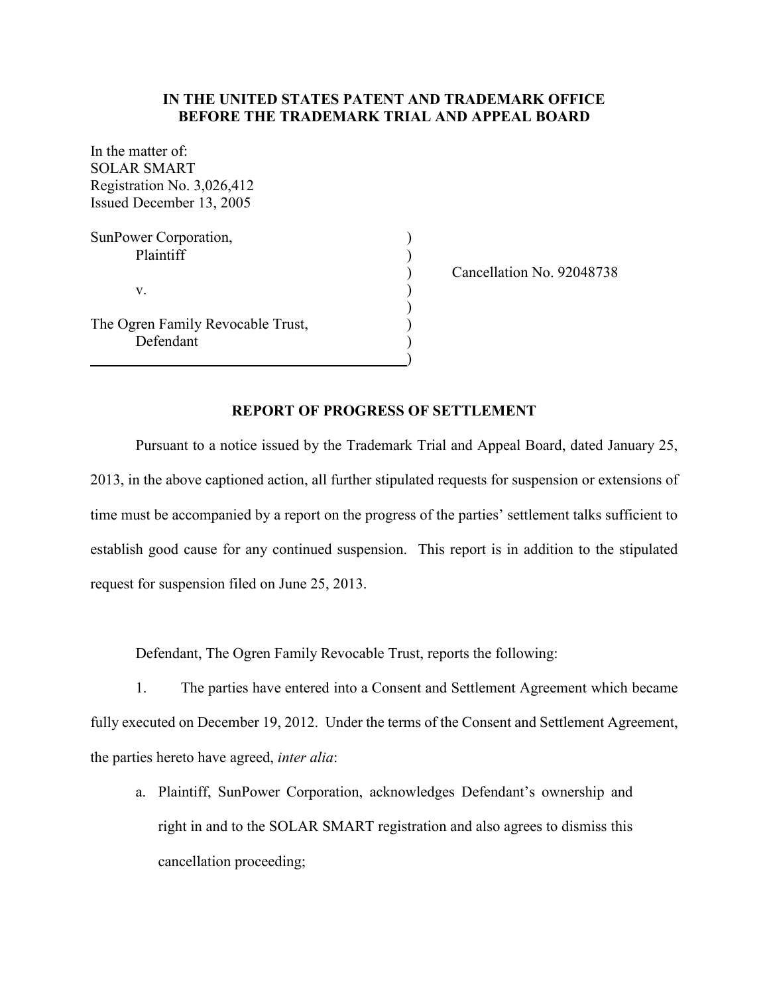### **IN THE UNITED STATES PATENT AND TRADEMARK OFFICE BEFORE THE TRADEMARK TRIAL AND APPEAL BOARD**

In the matter of: SOLAR SMART Registration No. 3,026,412 Issued December 13, 2005 SunPower Corporation, Plaintiff (b)  $\mathbf v$ .  $\qquad \qquad \qquad$  ) The Ogren Family Revocable Trust, )

Defendant

) Cancellation No. 92048738

)

)

Pursuant to a notice issued by the Trademark Trial and Appeal Board, dated January 25, 2013, in the above captioned action, all further stipulated requests for suspension or extensions of time must be accompanied by a report on the progress of the parties' settlement talks sufficient to establish good cause for any continued suspension. This report is in addition to the stipulated request for suspension filed on June 25, 2013.

**REPORT OF PROGRESS OF SETTLEMENT**

Defendant, The Ogren Family Revocable Trust, reports the following:

1. The parties have entered into a Consent and Settlement Agreement which became fully executed on December 19, 2012. Under the terms of the Consent and Settlement Agreement, the parties hereto have agreed, *inter alia*:

a. Plaintiff, SunPower Corporation, acknowledges Defendant's ownership and right in and to the SOLAR SMART registration and also agrees to dismiss this cancellation proceeding;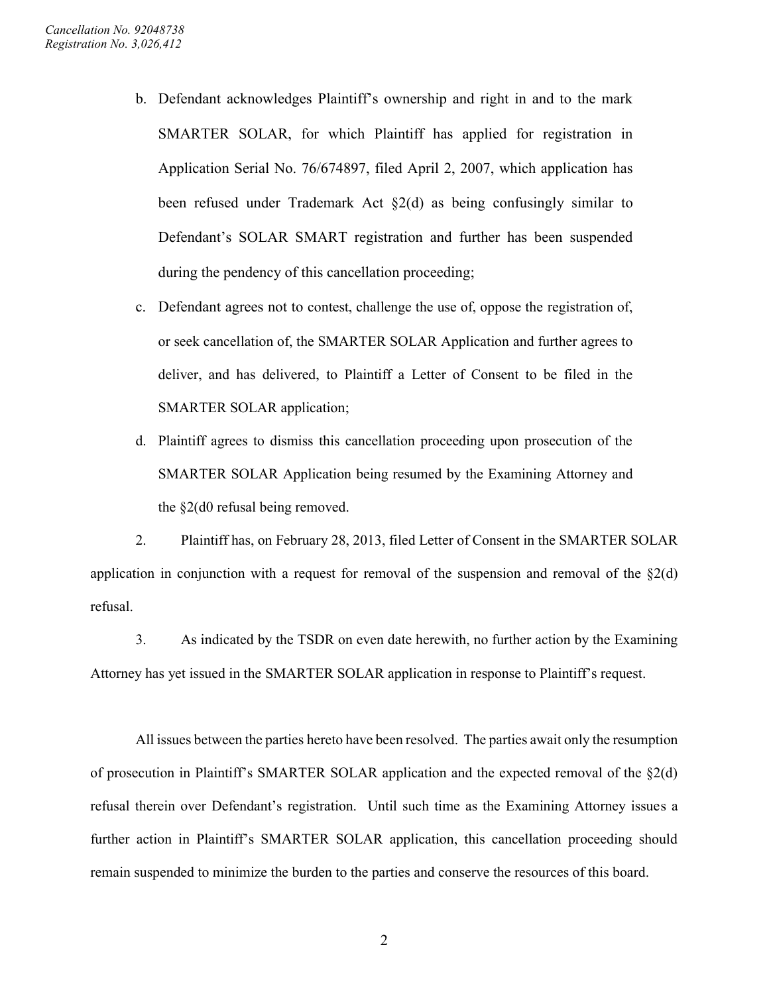- b. Defendant acknowledges Plaintiff's ownership and right in and to the mark SMARTER SOLAR, for which Plaintiff has applied for registration in Application Serial No. 76/674897, filed April 2, 2007, which application has been refused under Trademark Act §2(d) as being confusingly similar to Defendant's SOLAR SMART registration and further has been suspended during the pendency of this cancellation proceeding;
- c. Defendant agrees not to contest, challenge the use of, oppose the registration of, or seek cancellation of, the SMARTER SOLAR Application and further agrees to deliver, and has delivered, to Plaintiff a Letter of Consent to be filed in the SMARTER SOLAR application;
- d. Plaintiff agrees to dismiss this cancellation proceeding upon prosecution of the SMARTER SOLAR Application being resumed by the Examining Attorney and the §2(d0 refusal being removed.

2. Plaintiff has, on February 28, 2013, filed Letter of Consent in the SMARTER SOLAR application in conjunction with a request for removal of the suspension and removal of the  $\S2(d)$ refusal.

3. As indicated by the TSDR on even date herewith, no further action by the Examining Attorney has yet issued in the SMARTER SOLAR application in response to Plaintiff's request.

All issues between the parties hereto have been resolved. The parties await only the resumption of prosecution in Plaintiff's SMARTER SOLAR application and the expected removal of the §2(d) refusal therein over Defendant's registration. Until such time as the Examining Attorney issues a further action in Plaintiff's SMARTER SOLAR application, this cancellation proceeding should remain suspended to minimize the burden to the parties and conserve the resources of this board.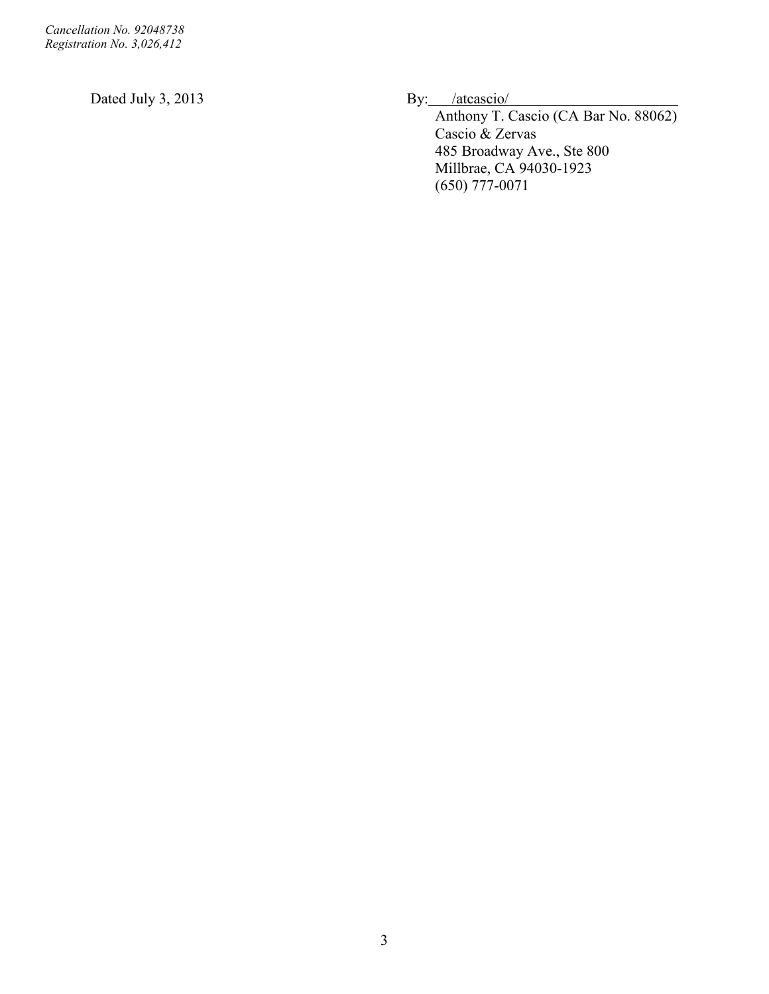Dated July 3, 2013 By: /atcascio/

Anthony T. Cascio (CA Bar No. 88062) Cascio & Zervas 485 Broadway Ave., Ste 800 Millbrae, CA 94030-1923 (650) 777-0071